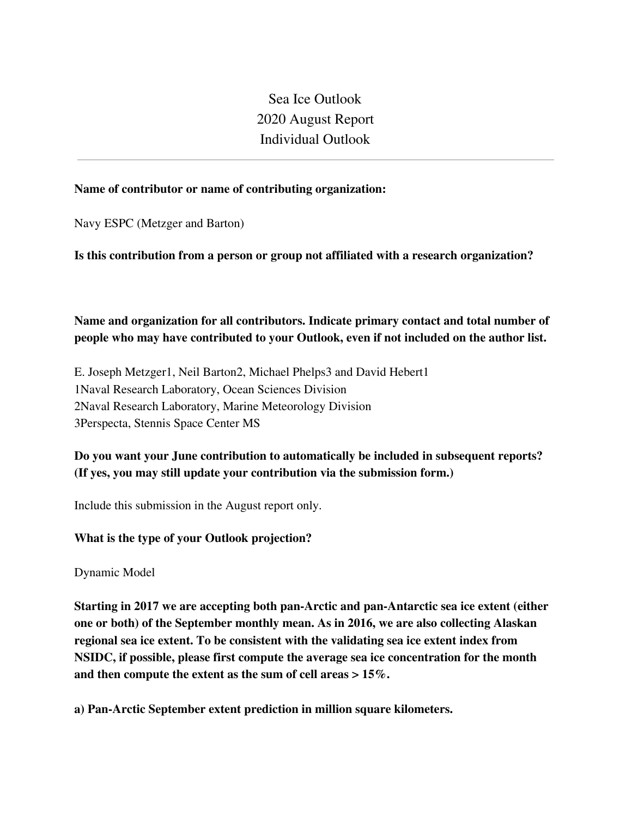Sea Ice Outlook 2020 August Report Individual Outlook

#### **Name of contributor or name of contributing organization:**

Navy ESPC (Metzger and Barton)

**Is this contribution from a person or group not affiliated with a research organization?** 

# **Name and organization for all contributors. Indicate primary contact and total number of people who may have contributed to your Outlook, even if not included on the author list.**

E. Joseph Metzger1, Neil Barton2, Michael Phelps3 and David Hebert1 1Naval Research Laboratory, Ocean Sciences Division 2Naval Research Laboratory, Marine Meteorology Division 3Perspecta, Stennis Space Center MS

## **Do you want your June contribution to automatically be included in subsequent reports? (If yes, you may still update your contribution via the submission form.)**

Include this submission in the August report only.

### **What is the type of your Outlook projection?**

Dynamic Model

**Starting in 2017 we are accepting both pan-Arctic and pan-Antarctic sea ice extent (either one or both) of the September monthly mean. As in 2016, we are also collecting Alaskan regional sea ice extent. To be consistent with the validating sea ice extent index from NSIDC, if possible, please first compute the average sea ice concentration for the month and then compute the extent as the sum of cell areas > 15%.**

**a) Pan-Arctic September extent prediction in million square kilometers.**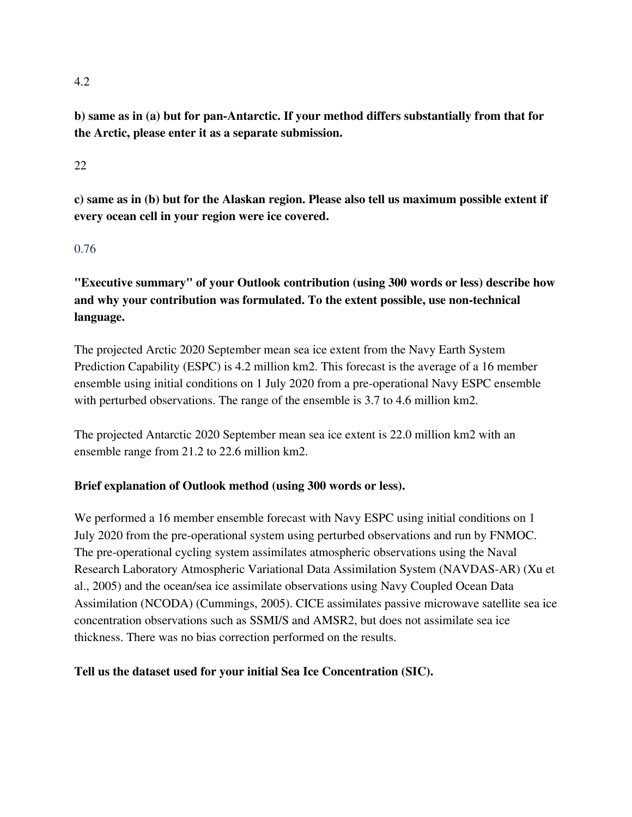#### 4.2

**b) same as in (a) but for pan-Antarctic. If your method differs substantially from that for the Arctic, please enter it as a separate submission.**

#### 22

**c) same as in (b) but for the Alaskan region. Please also tell us maximum possible extent if every ocean cell in your region were ice covered.**

#### 0.76

**"Executive summary" of your Outlook contribution (using 300 words or less) describe how and why your contribution was formulated. To the extent possible, use non-technical language.**

The projected Arctic 2020 September mean sea ice extent from the Navy Earth System Prediction Capability (ESPC) is 4.2 million km2. This forecast is the average of a 16 member ensemble using initial conditions on 1 July 2020 from a pre-operational Navy ESPC ensemble with perturbed observations. The range of the ensemble is 3.7 to 4.6 million km2.

The projected Antarctic 2020 September mean sea ice extent is 22.0 million km2 with an ensemble range from 21.2 to 22.6 million km2.

### **Brief explanation of Outlook method (using 300 words or less).**

We performed a 16 member ensemble forecast with Navy ESPC using initial conditions on 1 July 2020 from the pre-operational system using perturbed observations and run by FNMOC. The pre-operational cycling system assimilates atmospheric observations using the Naval Research Laboratory Atmospheric Variational Data Assimilation System (NAVDAS-AR) (Xu et al., 2005) and the ocean/sea ice assimilate observations using Navy Coupled Ocean Data Assimilation (NCODA) (Cummings, 2005). CICE assimilates passive microwave satellite sea ice concentration observations such as SSMI/S and AMSR2, but does not assimilate sea ice thickness. There was no bias correction performed on the results.

**Tell us the dataset used for your initial Sea Ice Concentration (SIC).**